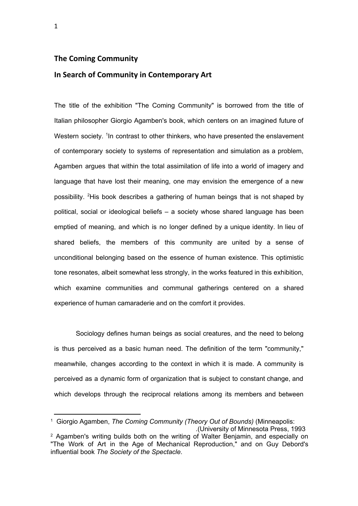## **The Coming Community**

## **In Search of Community in Contemporary Art**

The title of the exhibition "The Coming Community" is borrowed from the title of Italian philosopher Giorgio Agamben's book, which centers on an imagined future of Western society. <sup>1</sup> In contrast to other thinkers, who have presented the enslavement of contemporary society to systems of representation and simulation as a problem, Agamben argues that within the total assimilation of life into a world of imagery and language that have lost their meaning, one may envision the emergence of a new possibility. <sup>2</sup>His book describes a gathering of human beings that is not shaped by political, social or ideological beliefs – a society whose shared language has been emptied of meaning, and which is no longer defined by a unique identity. In lieu of shared beliefs, the members of this community are united by a sense of unconditional belonging based on the essence of human existence. This optimistic tone resonates, albeit somewhat less strongly, in the works featured in this exhibition, which examine communities and communal gatherings centered on a shared experience of human camaraderie and on the comfort it provides.

Sociology defines human beings as social creatures, and the need to belong is thus perceived as a basic human need. The definition of the term "community," meanwhile, changes according to the context in which it is made. A community is perceived as a dynamic form of organization that is subject to constant change, and which develops through the reciprocal relations among its members and between

<sup>1</sup> Giorgio Agamben, *The Coming Community (Theory Out of Bounds)* (Minneapolis: .(University of Minnesota Press, 1993

<sup>&</sup>lt;sup>2</sup> Agamben's writing builds both on the writing of Walter Benjamin, and especially on "The Work of Art in the Age of Mechanical Reproduction," and on Guy Debord's influential book *The Society of the Spectacle*.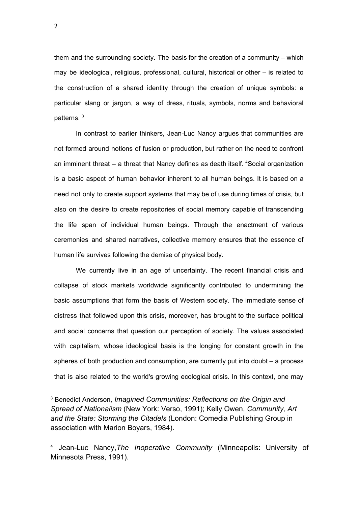them and the surrounding society. The basis for the creation of a community – which may be ideological, religious, professional, cultural, historical or other – is related to the construction of a shared identity through the creation of unique symbols: a particular slang or jargon, a way of dress, rituals, symbols, norms and behavioral patterns. 3

In contrast to earlier thinkers, Jean-Luc Nancy argues that communities are not formed around notions of fusion or production, but rather on the need to confront an imminent threat – a threat that Nancy defines as death itself. <sup>4</sup>Social organization is a basic aspect of human behavior inherent to all human beings. It is based on a need not only to create support systems that may be of use during times of crisis, but also on the desire to create repositories of social memory capable of transcending the life span of individual human beings. Through the enactment of various ceremonies and shared narratives, collective memory ensures that the essence of human life survives following the demise of physical body.

We currently live in an age of uncertainty. The recent financial crisis and collapse of stock markets worldwide significantly contributed to undermining the basic assumptions that form the basis of Western society. The immediate sense of distress that followed upon this crisis, moreover, has brought to the surface political and social concerns that question our perception of society. The values associated with capitalism, whose ideological basis is the longing for constant growth in the spheres of both production and consumption, are currently put into doubt – a process that is also related to the world's growing ecological crisis. In this context, one may

<sup>3</sup> Benedict Anderson, *Imagined Communities: Reflections on the Origin and Spread of Nationalism* (New York: Verso, 1991); Kelly Owen, *Community, Art and the State: Storming the Citadels* (London: Comedia Publishing Group in association with Marion Boyars, 1984).

<sup>4</sup> Jean-Luc Nancy,*The Inoperative Community* (Minneapolis: University of Minnesota Press, 1991).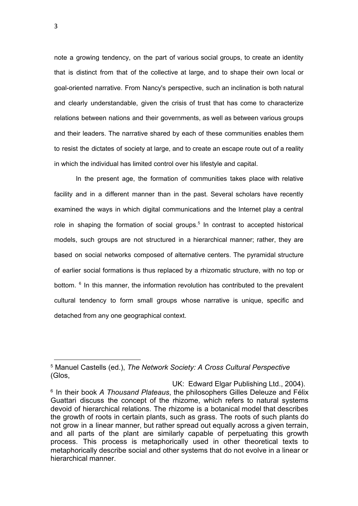note a growing tendency, on the part of various social groups, to create an identity that is distinct from that of the collective at large, and to shape their own local or goal-oriented narrative. From Nancy's perspective, such an inclination is both natural and clearly understandable, given the crisis of trust that has come to characterize relations between nations and their governments, as well as between various groups and their leaders. The narrative shared by each of these communities enables them to resist the dictates of society at large, and to create an escape route out of a reality in which the individual has limited control over his lifestyle and capital.

In the present age, the formation of communities takes place with relative facility and in a different manner than in the past. Several scholars have recently examined the ways in which digital communications and the Internet play a central role in shaping the formation of social groups.<sup>5</sup> In contrast to accepted historical models, such groups are not structured in a hierarchical manner; rather, they are based on social networks composed of alternative centers. The pyramidal structure of earlier social formations is thus replaced by a rhizomatic structure, with no top or bottom. <sup>6</sup> In this manner, the information revolution has contributed to the prevalent cultural tendency to form small groups whose narrative is unique, specific and detached from any one geographical context.

<sup>5</sup> Manuel Castells (ed.), *The Network Society: A Cross Cultural Perspective* (Glos,

UK: Edward Elgar Publishing Ltd., 2004). 6 In their book *A Thousand Plateaus*, the philosophers Gilles Deleuze and Félix Guattari discuss the concept of the rhizome, which refers to natural systems devoid of hierarchical relations. The rhizome is a botanical model that describes the growth of roots in certain plants, such as grass. The roots of such plants do not grow in a linear manner, but rather spread out equally across a given terrain, and all parts of the plant are similarly capable of perpetuating this growth process. This process is metaphorically used in other theoretical texts to metaphorically describe social and other systems that do not evolve in a linear or hierarchical manner.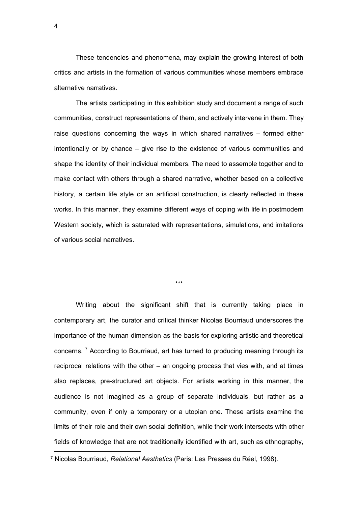These tendencies and phenomena, may explain the growing interest of both critics and artists in the formation of various communities whose members embrace alternative narratives.

The artists participating in this exhibition study and document a range of such communities, construct representations of them, and actively intervene in them. They raise questions concerning the ways in which shared narratives – formed either intentionally or by chance – give rise to the existence of various communities and shape the identity of their individual members. The need to assemble together and to make contact with others through a shared narrative, whether based on a collective history, a certain life style or an artificial construction, is clearly reflected in these works. In this manner, they examine different ways of coping with life in postmodern Western society, which is saturated with representations, simulations, and imitations of various social narratives.

\*\*\*

Writing about the significant shift that is currently taking place in contemporary art, the curator and critical thinker Nicolas Bourriaud underscores the importance of the human dimension as the basis for exploring artistic and theoretical concerns. <sup>7</sup> According to Bourriaud, art has turned to producing meaning through its reciprocal relations with the other – an ongoing process that vies with, and at times also replaces, pre-structured art objects. For artists working in this manner, the audience is not imagined as a group of separate individuals, but rather as a community, even if only a temporary or a utopian one. These artists examine the limits of their role and their own social definition, while their work intersects with other fields of knowledge that are not traditionally identified with art, such as ethnography,

<sup>7</sup> Nicolas Bourriaud, *Relational Aesthetics* (Paris: Les Presses du Réel, 1998).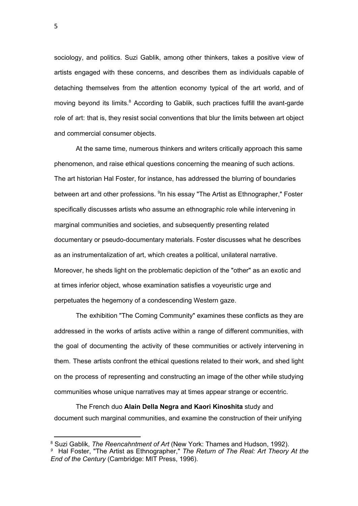sociology, and politics. Suzi Gablik, among other thinkers, takes a positive view of artists engaged with these concerns, and describes them as individuals capable of detaching themselves from the attention economy typical of the art world, and of moving beyond its limits.<sup>8</sup> According to Gablik, such practices fulfill the avant-garde role of art: that is, they resist social conventions that blur the limits between art object and commercial consumer objects.

At the same time, numerous thinkers and writers critically approach this same phenomenon, and raise ethical questions concerning the meaning of such actions. The art historian Hal Foster, for instance, has addressed the blurring of boundaries between art and other professions. <sup>9</sup>In his essay "The Artist as Ethnographer," Foster specifically discusses artists who assume an ethnographic role while intervening in marginal communities and societies, and subsequently presenting related documentary or pseudo-documentary materials. Foster discusses what he describes as an instrumentalization of art, which creates a political, unilateral narrative. Moreover, he sheds light on the problematic depiction of the "other" as an exotic and at times inferior object, whose examination satisfies a voyeuristic urge and perpetuates the hegemony of a condescending Western gaze.

The exhibition "The Coming Community" examines these conflicts as they are addressed in the works of artists active within a range of different communities, with the goal of documenting the activity of these communities or actively intervening in them. These artists confront the ethical questions related to their work, and shed light on the process of representing and constructing an image of the other while studying communities whose unique narratives may at times appear strange or eccentric.

The French duo **Alain Della Negra and Kaori Kinoshita** study and document such marginal communities, and examine the construction of their unifying

5

<sup>8</sup> Suzi Gablik, *The Reencahntment of Art* (New York: Thames and Hudson, 1992).

*<sup>9</sup>* Hal Foster, "The Artist as Ethnographer," *The Return of The Real: Art Theory At the End of the Century* (Cambridge: MIT Press, 1996).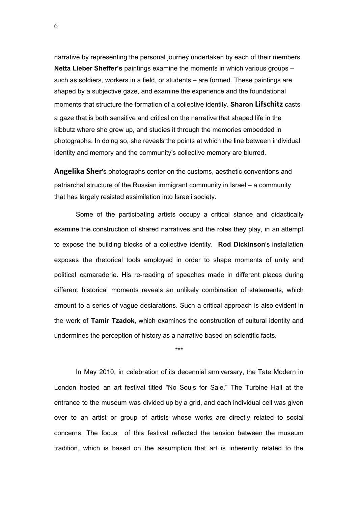narrative by representing the personal journey undertaken by each of their members. **Netta Lieber Sheffer's** paintings examine the moments in which various groups – such as soldiers, workers in a field, or students – are formed. These paintings are shaped by a subjective gaze, and examine the experience and the foundational moments that structure the formation of a collective identity. **Sharon Lifschitz** casts a gaze that is both sensitive and critical on the narrative that shaped life in the kibbutz where she grew up, and studies it through the memories embedded in photographs. In doing so, she reveals the points at which the line between individual identity and memory and the community's collective memory are blurred.

**Angelika Sher**'s photographs center on the customs, aesthetic conventions and patriarchal structure of the Russian immigrant community in Israel – a community that has largely resisted assimilation into Israeli society.

Some of the participating artists occupy a critical stance and didactically examine the construction of shared narratives and the roles they play, in an attempt to expose the building blocks of a collective identity. **Rod Dickinson**'s installation exposes the rhetorical tools employed in order to shape moments of unity and political camaraderie. His re-reading of speeches made in different places during different historical moments reveals an unlikely combination of statements, which amount to a series of vague declarations. Such a critical approach is also evident in the work of **Tamir Tzadok**, which examines the construction of cultural identity and undermines the perception of history as a narrative based on scientific facts.

\*\*\*

In May 2010, in celebration of its decennial anniversary, the Tate Modern in London hosted an art festival titled "No Souls for Sale." The Turbine Hall at the entrance to the museum was divided up by a grid, and each individual cell was given over to an artist or group of artists whose works are directly related to social concerns. The focus of this festival reflected the tension between the museum tradition, which is based on the assumption that art is inherently related to the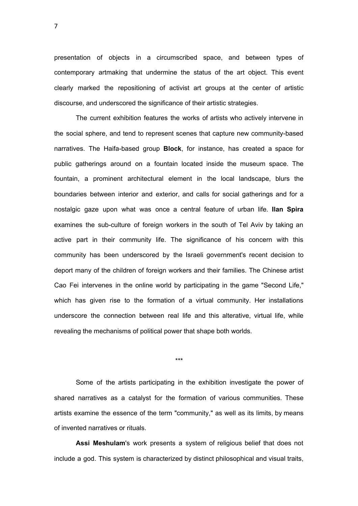presentation of objects in a circumscribed space, and between types of contemporary artmaking that undermine the status of the art object. This event clearly marked the repositioning of activist art groups at the center of artistic discourse, and underscored the significance of their artistic strategies.

The current exhibition features the works of artists who actively intervene in the social sphere, and tend to represent scenes that capture new community-based narratives. The Haifa-based group **Block**, for instance, has created a space for public gatherings around on a fountain located inside the museum space. The fountain, a prominent architectural element in the local landscape, blurs the boundaries between interior and exterior, and calls for social gatherings and for a nostalgic gaze upon what was once a central feature of urban life. **Ilan Spira** examines the sub-culture of foreign workers in the south of Tel Aviv by taking an active part in their community life. The significance of his concern with this community has been underscored by the Israeli government's recent decision to deport many of the children of foreign workers and their families. The Chinese artist Cao Fei intervenes in the online world by participating in the game "Second Life," which has given rise to the formation of a virtual community. Her installations underscore the connection between real life and this alterative, virtual life, while revealing the mechanisms of political power that shape both worlds.

\*\*\*

Some of the artists participating in the exhibition investigate the power of shared narratives as a catalyst for the formation of various communities. These artists examine the essence of the term "community," as well as its limits, by means of invented narratives or rituals.

**Assi Meshulam**'s work presents a system of religious belief that does not include a god. This system is characterized by distinct philosophical and visual traits,

7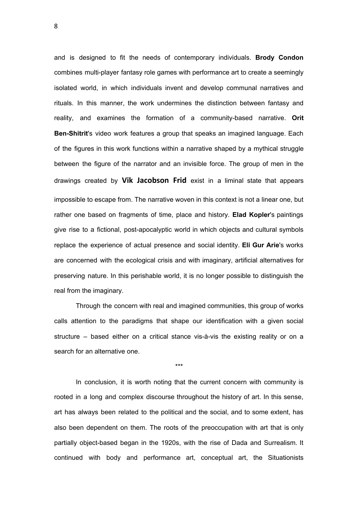and is designed to fit the needs of contemporary individuals. **Brody Condon** combines multi-player fantasy role games with performance art to create a seemingly isolated world, in which individuals invent and develop communal narratives and rituals. In this manner, the work undermines the distinction between fantasy and reality, and examines the formation of a community-based narrative. **Orit Ben-Shitrit**'s video work features a group that speaks an imagined language. Each of the figures in this work functions within a narrative shaped by a mythical struggle between the figure of the narrator and an invisible force. The group of men in the drawings created by **Vik Jacobson Frid** exist in a liminal state that appears impossible to escape from. The narrative woven in this context is not a linear one, but rather one based on fragments of time, place and history. **Elad Kopler**'s paintings give rise to a fictional, post-apocalyptic world in which objects and cultural symbols replace the experience of actual presence and social identity. **Eli Gur Arie**'s works are concerned with the ecological crisis and with imaginary, artificial alternatives for preserving nature. In this perishable world, it is no longer possible to distinguish the real from the imaginary.

Through the concern with real and imagined communities, this group of works calls attention to the paradigms that shape our identification with a given social structure – based either on a critical stance vis-à-vis the existing reality or on a search for an alternative one.

\*\*\*

In conclusion, it is worth noting that the current concern with community is rooted in a long and complex discourse throughout the history of art. In this sense, art has always been related to the political and the social, and to some extent, has also been dependent on them. The roots of the preoccupation with art that is only partially object-based began in the 1920s, with the rise of Dada and Surrealism. It continued with body and performance art, conceptual art, the Situationists